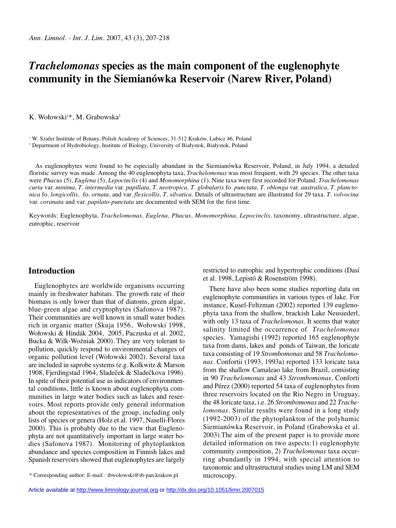# *Trachelomonas* **species as the main component of the euglenophyte community in the Siemianówka Reservoir (Narew River, Poland)**

K. Wołowski<sup>1\*</sup>, M. Grabowska<sup>2</sup>

<sup>1</sup> W. Szafer Institute of Botany, Polish Academy of Sciences, 31-512 Kraków, Lubicz 46, Poland

<sup>2</sup> Department of Hydrobiology, Institute of Biology, University of Białystok, Białystok, Poland

As euglenophytes were found to be especially abundant in the Siemianówka Reservoir, Poland, in July 1994, a detailed floristic survey was made. Among the 40 euglenophyta taxa, *Trachelomonas* was most frequent, with 29 species. The other taxa were *Phacus* (5), *Euglena* (5), *Lepocinclis* (4) and *Monomorphina* (1). Nine taxa were first recorded for Poland: *Trachelomonas curta* var. *minima, T. intermedia* var. *papillata, T. neotropica, T. globularis* fo. *punctata, T. oblonga* var. *australica, T. planctonica* fo. *longicollis,* fo. *ornata,* and var. *flexicollis, T. silvatica*. Details of ultrastructure are illustrated for 29 taxa. *T. volvocina* var. *coranata* and var. *papilato-punctata* are documented with SEM for the first time.

Keywords: Euglenophyta, *Trachelomonas, Euglena, Phacus, Monomorphina, Lepocinclis,* taxonomy, ultrastructure, algae, eutrophic, reservoir

# **Introduction**

Euglenophytes are worldwide organisms occurring mainly in freshwater habitats. The growth rate of their biomass is only lower than that of diatoms, green algae, blue-green algae and cryptophytes (Safonova 1987). Their communities are well known in small water bodies rich in organic matter (Skuja 1956, Wołowski 1998, Wołowski & Hindák 2004, 2005, Paczuska et al. 2002, Bucka & Wilk-Woźniak 2000). They are very tolerant to pollution, quickly respond to environmental changes of organic pollution level (Wołowski 2002). Several taxa are included in saprobe systems (e.g. Kolkwitz & Marson 1908, Fjerdingstad 1964, Sladeček & Sladečkova 1996). In spite of their potential use as indicators of environmental conditions, little is known about euglenophyta communities in large water bodies such as lakes and reservoirs. Most reports provide only general information about the representatives of the group, including only lists of species or genera (Holz et al. 1997, Naselli-Flores 2000). This is probably due to the view that Euglenophyta are not quantitatively important in large water bodies (Safonova 1987). Monitoring of phytoplankton abundance and species composition in Finnish lakes and Spanish reservoirs showed that euglenophytes are largely

restricted to eutrophic and hypertrophic conditions (Dasí et al. 1998, Lepistö & Rosenström 1998).

There have also been some studies reporting data on euglenophyte communities in various types of lake. For instance, Kusel-Feltzman (2002) reported 139 euglenophyta taxa from the shallow, brackish Lake Neusiederl, with only 13 taxa of *Trachelomonas*. It seems that water salinity limited the occurrence of *Trachelomonas*  species. Yamagishi (1992) reported 165 euglenophyte taxa from dams, lakes and ponds of Taiwan, the loricate taxa consisting of 19 *Strombomonas* and 58 *Trachelomonas*. Confortii (1993, 1993a) reported 133 loricate taxa from the shallow Camaleao lake from Brazil, consisting in 90 *Trachelomonas* and 43 *Strombomonas*. Conforti and Pérez (2000) reported 54 taxa of euglenophytes from three reservoirs located on the Rio Negro in Uruguay, the 48 loricate taxa, i.e. 26 *Strombomonas* and 22 *Trachelomonas*. Similar results were found in a long study (1992-2003) of the phytoplankton of the polyhumic Siemianówka Reservoir, in Poland (Grabowska et al. 2003).The aim of the present paper is to provide more detailed information on two aspects:1) euglenophyte community composition, 2) *Trachelomonas* taxa occurring abundantly in 1994, with special attention to taxonomic and ultrastructural studies using LM and SEM

<sup>\*</sup> Corresponding author: E-mail : ibwolowski@ib-pan.krakow.pl microscopy.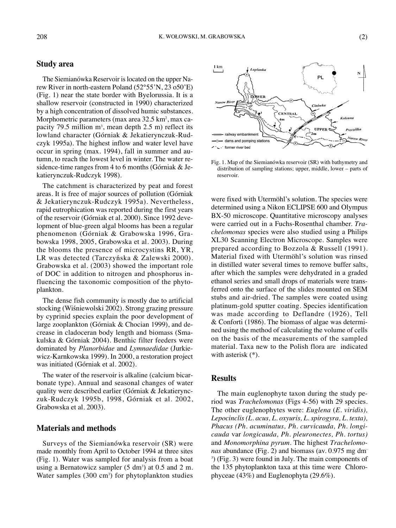# **Study area**

The Siemianówka Reservoir is located on the upper Narew River in north-eastern Poland (52°55'N, 23 o50'E) (Fig. 1) near the state border with Byelorussia. It is a shallow reservoir (constructed in 1990) characterized by a high concentration of dissolved humic substances. Morphometric parameters (max area 32.5 km², max capacity 79.5 million m<sup>3</sup>, mean depth 2.5 m) reflect its lowland character (Górniak & Jekatierynczuk-Rudczyk 1995a). The highest inflow and water level have occur in spring (max. 1994), fall in summer and autumn, to reach the lowest level in winter. The water residence-time ranges from 4 to 6 months (Górniak & Jekatierynczuk-Rudczyk 1998).

The catchment is characterized by peat and forest areas. It is free of major sources of pollution (Górniak & Jekatierynczuk-Rudczyk 1995a). Nevertheless, rapid eutrophication was reported during the first years of the reservoir (Górniak et al. 2000). Since 1992 development of blue-green algal blooms has been a regular phenomenon (Górniak & Grabowska 1996, Grabowska 1998, 2005, Grabowska et al. 2003). During the blooms the presence of microcystins RR, YR, LR was detected (Tarczyńska & Zalewski 2000). Grabowska et al. (2003) showed the important role of DOC in addition to nitrogen and phosphorus influencing the taxonomic composition of the phytoplankton.

The dense fish community is mostly due to artificial stocking (Wiśniewolski 2002). Strong grazing pressure by cyprinid species explain the poor development of large zooplankton (Górniak & Chocian 1999), and decrease in cladoceran body length and biomass (Smakulska & Górniak 2004). Benthic filter feeders were dominated by *Planorbidae* and *Lymnaedidae* (Jurkiewicz-Karnkowska 1999). In 2000, a restoration project was initiated (Górniak et al. 2002).

The water of the reservoir is alkaline (calcium bicarbonate type). Annual and seasonal changes of water quality were described earlier (Górniak & Jekatierynczuk-Rudczyk 1995b, 1998, Górniak et al. 2002, Grabowska et al. 2003).

# **Materials and methods**

Surveys of the Siemianówka reservoir (SR) were made monthly from April to October 1994 at three sites (Fig. 1). Water was sampled for analysis from a boat using a Bernatowicz sampler  $(5 \text{ dm}^3)$  at 0.5 and 2 m. Water samples (300 cm<sup>3</sup>) for phytoplankton studies



Fig. 1. Map of the Siemianówka reservoir (SR) with bathymetry and distribution of sampling stations; upper, middle, lower – parts of reservoir.

were fixed with Utermöhl's solution. The species were determined using a Nikon ECLIPSE 600 and Olympus BX-50 microscope. Quantitative microscopy analyses were carried out in a Fuchs-Rosenthal chamber. *Trachelomonas* species were also studied using a Philips XL30 Scanning Electron Microscope. Samples were prepared according to Bozzola & Russell (1991). Material fixed with Utermöhl's solution was rinsed in distilled water several times to remove buffer salts, after which the samples were dehydrated in a graded ethanol series and small drops of materials were transferred onto the surface of the slides mounted on SEM stubs and air-dried. The samples were coated using platinum-gold sputter coating. Species identification was made according to Deflandre (1926), Tell & Conforti (1986). The biomass of algae was determined using the method of calculating the volume of cells on the basis of the measurements of the sampled material. Taxa new to the Polish flora are indicated with asterisk (\*).

# **Results**

The main euglenophyte taxon during the study period was *Trachelomonas* (Figs 4-56) with 29 species. The other euglenophytes were: *Euglena* (*E. viridis), Lepocinclis (L. acus, L. oxyuris, L. spirogyra, L. texta), Phacus (Ph. acuminatus, Ph. curvicauda, Ph. longicauda* var *longicauda, Ph. pleuronectes, Ph. tortus)* and *Monomorphina pyrum*. The highest *Trachelomonas* abundance (Fig. 2) and biomass (av. 0.975 mg dm-3 ) (Fig. 3) were found in July. The main components of the 135 phytoplankton taxa at this time were Chlorophyceae (43%) and Euglenophyta (29.6%).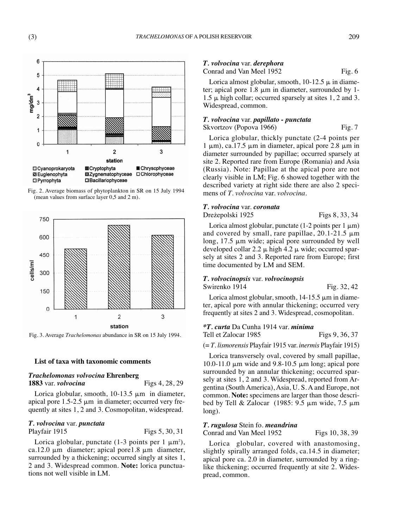

Fig. 2. Average biomass of phytoplankton in SR on 15 July 1994 (mean values from surface layer 0,5 and 2 m).



Fig. 3. Average *Trachelomonas* abundance in SR on 15 July 1994.

#### **List of taxa with taxonomic comments**

### *Trachelomonas volvocina* **Ehrenberg 1883** var. *volvocina* Figs 4, 28, 29

Lorica globular, smooth,  $10-13.5 \mu m$  in diameter, apical pore  $1.5$ -2.5  $\mu$ m in diameter; occurred very frequently at sites 1, 2 and 3. Cosmopolitan, widespread.

#### *T. volvocina* var. *punctata*

Playfair 1915 **Figs 5, 30, 31** 

Lorica globular, punctate (1-3 points per 1  $\mu$ m<sup>2</sup>), ca.12.0  $\mu$ m diameter; apical pore1.8  $\mu$ m diameter, surrounded by a thickening; occurred singly at sites 1, 2 and 3. Widespread common. **Note:** lorica punctuations not well visible in LM.

# *T. volvocina* var. *derephora*

Conrad and Van Meel 1952 Fig. 6

Lorica almost globular, smooth,  $10-12.5 \mu$  in diameter; apical pore  $1.8 \mu m$  in diameter, surrounded by 1- $1.5 \mu$  high collar; occurred sparsely at sites 1, 2 and 3. Widespread, common.

### *T. volvocina* var. *papillato - punctata* Skvortzov (Popova 1966) Fig. 7

Lorica globular, thickly punctate (2-4 points per  $1 \mu m$ , ca.17.5  $\mu m$  in diameter, apical pore 2.8  $\mu m$  in diameter surrounded by papillae; occurred sparsely at site 2. Reported rare from Europe (Romania) and Asia (Russia). Note: Papillae at the apical pore are not clearly visible in LM; Fig. 6 showed together with the described variety at right side there are also 2 specimens of *T. volvocina* var. *volvocina*.

#### *T. volvocina* var. *coronata* Dreżepolski 1925 Figs 8, 33, 34

Lorica almost globular, punctate (1-2 points per 1  $\mu$ m) and covered by small, rare papillae, 20.1-21.5  $\mu$ m long,  $17.5 \mu m$  wide; apical pore surrounded by well developed collar 2.2  $\upmu$  high 4.2  $\upmu$  wide; occurred sparsely at sites 2 and 3. Reported rare from Europe; first time documented by LM and SEM.

# *T. volvocinopsis* var. *volvocinopsis*

Swirenko 1914 Fig. 32, 42

Lorica almost globular, smooth,  $14\n-15.5 \mu m$  in diameter, apical pore with annular thickening; occurred very frequently at sites 2 and 3. Widespread, cosmopolitan.

#### *\*T. curta* Da Cunha 1914 var. *minima*

Tell et Zalocar 1985 Figs 9, 36, 37

(= *T. lismorensis* Playfair 1915 var. *inermis* Playfair 1915)

Lorica transversely oval, covered by small papillae, 10.0-11.0  $\mu$ m wide and 9.8-10.5  $\mu$ m long; apical pore surrounded by an annular thickening; occurred sparsely at sites 1, 2 and 3. Widespread, reported from Argentina (South America), Asia, U. S. A and Europe, not common. **Note:** specimens are larger than those described by Tell & Zalocar  $(1985: 9.5 \mu m \text{ wide}, 7.5 \mu m$ long).

# *T. rugulosa* Stein fo. *meandrina*

Conrad and Van Meel 1952 Figs 10, 38, 39

Lorica globular, covered with anastomosing, slightly spirally arranged folds, ca.14.5 in diameter; apical pore ca. 2.0 in diameter, surrounded by a ringlike thickening; occurred frequently at site 2. Widespread, common.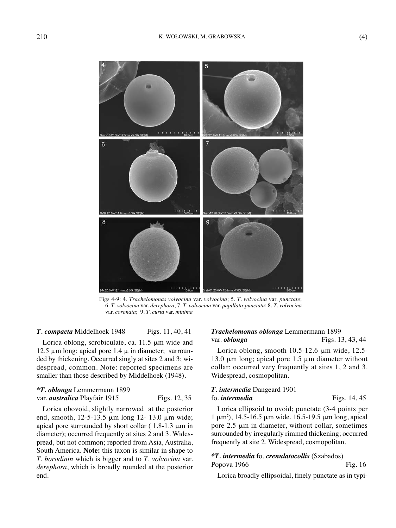

Figs 4-9: 4. *Trachelomonas volvocina* var. *volvocina*; 5. *T. volvocina* var. *punctate*; 6. *T. volvocina* var. *derephora*; 7. *T. volvocina* var. *papillato-punctata*; 8. *T. volvocina* var. *coronata*; 9. *T. curta* var. *minima* 

**T. compacta** Middelhoek 1948 Figs. 11, 40, 41

Lorica oblong, scrobiculate, ca.  $11.5 \mu m$  wide and 12.5  $\mu$ m long; apical pore 1.4  $\mu$  in diameter; surrounded by thickening. Occurred singly at sites 2 and 3; widespread, common. Note: reported specimens are smaller than those described by Middelhoek (1948).

# *\*T. oblonga* Lemmermann 1899 var. *australica* Playfair 1915 Figs. 12, 35

Lorica obovoid, slightly narrowed at the posterior end, smooth, 12-5-13.5  $\mu$ m long 12- 13.0  $\mu$ m wide; apical pore surrounded by short collar  $(1.8-1.3 \mu m)$  in diameter); occurred frequently at sites 2 and 3. Widespread, but not common; reported from Asia, Australia, South America. **Note:** this taxon is similar in shape to *T. borodinin* which is bigger and to *T. volvocina* var. *derephora*, which is broadly rounded at the posterior end.

# *Trachelomonas oblonga* Lemmermann 1899 var. *oblonga* Figs. 13, 43, 44

Lorica oblong, smooth  $10.5$ -12.6  $\mu$ m wide, 12.5-13.0  $\mu$ m long; apical pore 1.5  $\mu$ m diameter without collar; occurred very frequently at sites 1, 2 and 3. Widespread, cosmopolitan.

# *T. intermedia* Dangeard 1901 fo. *intermedia* Figs. 14, 45

Lorica ellipsoid to ovoid; punctate (3-4 points per  $1 \mu m^2$ ), 14.5-16.5  $\mu m$  wide, 16.5-19.5  $\mu m$  long, apical pore  $2.5 \mu m$  in diameter, without collar, sometimes surrounded by irregularly rimmed thickening; occurred frequently at site 2. Widespread, cosmopolitan.

#### *\*T. intermedia* fo. *crenulatocollis* (Szabados) Popova  $1966$  Fig. 16

Lorica broadly ellipsoidal, finely punctate as in typi-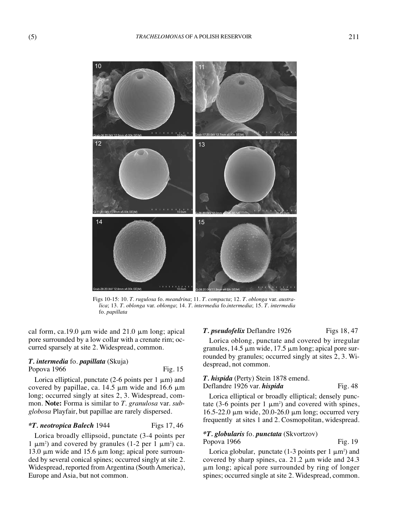

Figs 10-15: 10. *T. rugulosa* fo. *meandrina*; 11. *T. compacta*; 12. *T. oblonga* var. *australica*; 13. *T. oblonga* var. *oblonga*; 14. *T. intermedia* fo.*intermedia*; 15. *T. intermedia* fo. *papillata*

**TELEVIALE** 

cal form,  $ca.19.0 \mu m$  wide and  $21.0 \mu m$  long; apical pore surrounded by a low collar with a crenate rim; occurred sparsely at site 2. Widespread, common.

#### *T. intermedia* fo. *papillata* (Skuja) Popova  $1966$  Fig. 15

Lorica elliptical, punctate  $(2\n-6$  points per 1  $\mu$ m) and covered by papillae, ca.  $14.5 \mu m$  wide and  $16.6 \mu m$ long; occurred singly at sites 2, 3. Widespread, common. **Note:** Forma is similar to *T. granulosa* var. *subglobosa* Playfair, but papillae are rarely dispersed.

#### *\*T. neotropica Balech* 1944 Figs 17, 46

Lorica broadly ellipsoid, punctate (3-4 points per 1  $\mu$ m<sup>2</sup>) and covered by granules (1-2 per 1  $\mu$ m<sup>2</sup>) ca. 13.0  $\mu$ m wide and 15.6  $\mu$ m long; apical pore surrounded by several conical spines; occurred singly at site 2. Widespread, reported from Argentina (South America), Europe and Asia, but not common.

#### **T.** *pseudofelix* Deflandre 1926 Figs 18, 47

Lorica oblong, punctate and covered by irregular granules,  $14.5 \mu m$  wide,  $17.5 \mu m$  long; apical pore surrounded by granules; occurred singly at sites 2, 3. Widespread, not common.

#### *T. hispida* (Perty) Stein 1878 emend. Deflandre 1926 var. *hispida* Fig. 48

Lorica elliptical or broadly elliptical; densely punctate (3-6 points per 1  $\mu$ m<sup>2</sup>) and covered with spines,  $16.5 - 22.0 \mu m$  wide,  $20.0 - 26.0 \mu m$  long; occurred very frequently at sites 1 and 2. Cosmopolitan, widespread.

# *\*T. globularis* fo. *punctata* (Skvortzov)

Popova 1966 Fig. 19

Lorica globular, punctate (1-3 points per 1  $\mu$ m<sup>2</sup>) and covered by sharp spines, ca.  $21.2 \mu m$  wide and  $24.3 \mu m$ -m long; apical pore surrounded by ring of longer spines; occurred single at site 2. Widespread, common.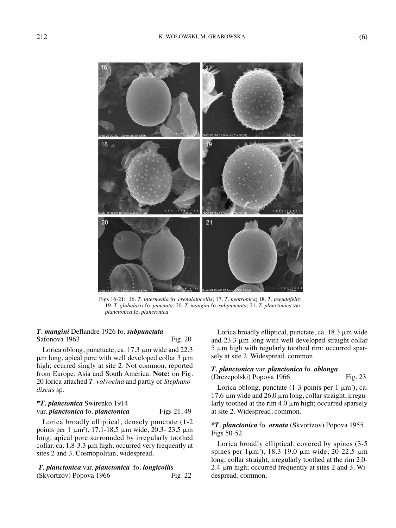

Figs 16-21: 16. *T. intermedia* fo. *crenulatocollis*; 17. *T. neotropica*; 18. *T. pseudofelix*; 19. *T. globularis* fo. *punctata*; 20. *T. mangini* fo. *subpunctata*; 21. *T. planctonica* var. *planctonica* fo. *planctonica*

# *T. mangini* Deflandre 1926 fo. *subpunctata* Safonova 1963 Fig. 20

Lorica oblong, punctuate, ca.  $17.3 \mu m$  wide and  $22.3 \mu m$  $\mu$ m long, apical pore with well developed collar 3  $\mu$ m high; ccurred singly at site 2. Not common, reported from Europe, Asia and South America. **Note:** on Fig. 20 lorica attached *T. volvocina* and partly of *Stephanodiscus* sp.

# *\*T. planctonica* Swirenko 1914 var. *planctonica* fo. *planctonica* Figs 21, 49

Lorica broadly elliptical, densely punctate (1-2 points per 1  $\mu$ m<sup>2</sup>), 17.1-18.5  $\mu$ m wide, 20.3- 23.5  $\mu$ m long; apical pore surrounded by irregularly toothed collar, ca.  $1.8$ -3.3  $\mu$ m high; occurred very frequently at sites 2 and 3. Cosmopolitan, widespread.

## *T. planctonica* var. *planctonica* fo. *longicollis* (Skvortzov) Popova 1966

Lorica broadly elliptical, punctate, ca. 18.3 µm wide and  $23.3 \mu m$  long with well developed straight collar  $5 \mu m$  high with regularly toothed rim; occurred sparsely at site 2. Widespread. common.

### *T. planctonica* var. *planctonica* fo. *oblonga* (Dreżepolski) Popova 1966 Fig. 23

Lorica oblong, punctate  $(1-3 \text{ points per } 1 \mu \text{m}^2)$ , ca. 17.6  $\mu$ m wide and 26.0  $\mu$ m long, collar straight, irregularly toothed at the rim  $4.0 \mu m$  high; occurred sparsely at site 2. Widespread, common.

# *\*T. planctonica* fo. *ornata* (Skvortzov) Popova 1955 Figs 50-52

Lorica broadly elliptical, covered by spines (3-5 spines per  $1\mu$ m<sup>2</sup>), 18.3-19.0  $\mu$ m wide, 20-22.5  $\mu$ m long; collar straight, irregularly toothed at the rim 2.0- 2.4  $\mu$ m high; occurred frequently at sites 2 and 3. Widespread, common.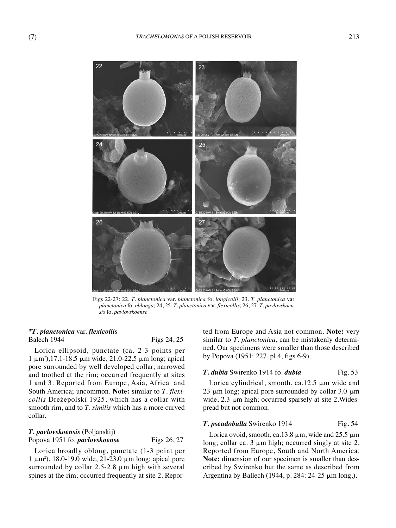

Figs 22-27: 22. *T. planctonica* var. *planctonica* fo. *longicolli*; 23. *T. planctonica* var. *planctonica* fo. *oblonga*; 24, 25. *T. planctonica* var. *flexicollis*; 26, 27. *T. pavlovskoensis* fo. *pavlovskoense*

#### *\*T. planctonica* var. *flexicollis* Balech 1944 Figs 24, 25

Lorica ellipsoid, punctate (ca. 2-3 points per  $1 \mu m^2$ ),17.1-18.5  $\mu m$  wide, 21.0-22.5  $\mu m$  long; apical pore surrounded by well developed collar, narrowed and toothed at the rim; occurred frequently at sites 1 and 3. Reported from Europe, Asia, Africa and South America; uncommon. **Note:** similar to *T. flexicollis* Dreżepolski 1925, which has a collar with smooth rim, and to *T. similis* which has a more curved collar.

### *T. pavlovskoensis* (Poljanskij)

Popova 1951 fo. *pavlovskoense* Figs 26, 27

Lorica broadly oblong, punctate (1-3 point per  $1 \mu m^2$ , 18.0-19.0 wide, 21-23.0  $\mu m$  long; apical pore surrounded by collar  $2.5$ -2.8  $\mu$ m high with several spines at the rim; occurred frequently at site 2. Reported from Europe and Asia not common. **Note:** very similar to *T. planctonica*, can be mistakenly determined. Our specimens were smaller than those described by Popova (1951: 227, pl.4, figs 6-9).

# **T. dubia** Swirenko 1914 fo. *dubia* Fig. 53

Lorica cylindrical, smooth,  $ca.12.5 \mu m$  wide and 23  $\mu$ m long; apical pore surrounded by collar 3.0  $\mu$ m wide,  $2.3 \mu m$  high; occurred sparsely at site  $2$ . Widespread but not common.

# **T. pseudobulla** Swirenko 1914 Fig. 54

Lorica ovoid, smooth, ca.13.8  $\mu$ m, wide and 25.5  $\mu$ m long; collar ca.  $3 \mu m$  high; occurred singly at site 2. Reported from Europe, South and North America. **Note:** dimension of our specimen is smaller than described by Swirenko but the same as described from Argentina by Ballech  $(1944, p. 284: 24-25 \mu m \log$ ,).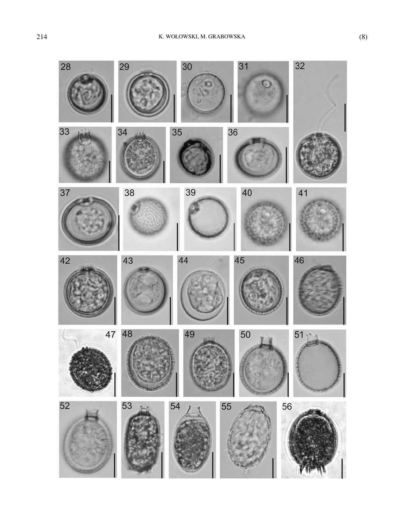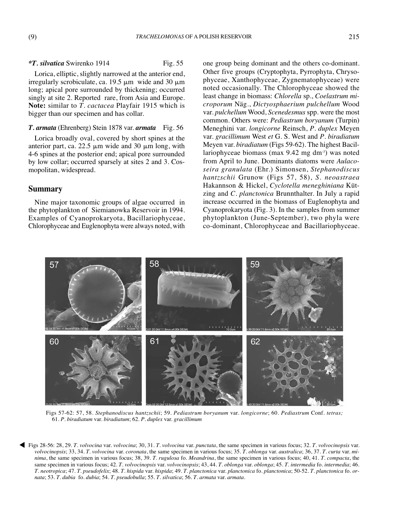### *\*T. silvatica* Swirenko 1914 Fig. 55

Lorica, elliptic, slightly narrowed at the anterior end, irregularly scrobiculate, ca. 19.5  $\mu$ m wide and 30  $\mu$ m long; apical pore surrounded by thickening; occurred singly at site 2. Reported rare, from Asia and Europe. **Note:** similar to *T. cactacea* Playfair 1915 which is bigger than our specimen and has collar.

#### *T. armata* (Ehrenberg) Stein 1878 var. *armata* Fig. 56

Lorica broadly oval, covered by short spines at the anterior part, ca. 22.5  $\mu$ m wide and 30  $\mu$ m long, with 4-6 spines at the posterior end; apical pore surrounded by low collar; occurred sparsely at sites 2 and 3. Cosmopolitan, widespread.

# **Summary**

Nine major taxonomic groups of algae occurred in the phytoplankton of Siemianowka Reservoir in 1994. Examples of Cyanoprokaryota, Bacillariophyceae, Chlorophyceae and Euglenophyta were always noted, with one group being dominant and the others co-dominant. Other five groups (Cryptophyta, Pyrrophyta, Chrysophyceae, Xanthophyceae, Zygnematophyceae) were noted occasionally. The Chlorophyceae showed the least change in biomass: *Chlorella* sp., *Coelastrum microporum* Näg., *Dictyosphaerium pulchellum* Wood var. *pulchellum* Wood, *Scenedesmus* spp. were the most common. Others were: *Pediastrum boryanum* (Turpin) Meneghini var. *longicorne* Reinsch, *P. duplex* Meyen var. *gracillimum* West *et* G. S. West and *P. biradiatum* Meyen var. *biradiatum* (Figs 59-62). The highest Bacillariophyceae biomass (max  $9.42$  mg dm<sup>-3</sup>) was noted from April to June. Dominants diatoms were *Aulacoseira granulata* (Ehr.) Simonsen, *Stephanodiscus hantzschii* Grunow (Figs 57, 58), *S. neoastraea* Hakannson & Hickel, *Cyclotella meneghiniana* Kützing and *C. planctonica* Brunnthalter. In July a rapid increase occurred in the biomass of Euglenophyta and Cyanoprokaryota (Fig. 3). In the samples from summer phytoplankton (June-September), two phyla were co-dominant, Chlorophyceae and Bacillariophyceae.



Figs 57-62: 57, 58. *Stephanodiscus hantzschii*; 59. *Pediastrum boryanum* var. *longicorne*; 60. *Pediastrum* Conf. *tetras;* 61. *P. biradiatum* var. *biradiatum*; 62. *P. duplex* var. *gracillimum*

Figs 28-56: 28, 29. *T. volvocina* var. *volvocina*; 30, 31. *T. volvocina* var. *punctata*, the same specimen in various focus; 32. *T. volvocinopsis* var. *volvocinopsis*; 33, 34. *T. volvocina* var. *coronata*, the same specimen in various focus; 35. *T. oblonga* var. *australica*; 36, 37. *T. curta* var. *minima*, the same specimen in various focus; 38, 39. *T. rugulosa* fo. *Meandrina*, the same specimen in various focus; 40, 41. *T. compacta*, the same specimen in various focus; 42. *T. volvocinopsis* var. *volvocinopsis*; 43, 44. *T. oblonga* var. *oblonga*; 45. *T. intermedia* fo. *intermedia*; 46. *T. neotropica*; 47. *T. pseudofelix*; 48. *T. hispida* var. *hispida*; 49. *T. planctonica* var. *planctonica* fo. *planctonica*; 50-52. *T. planctonica* fo. *ornata*; 53. *T. dubia* fo. *dubia*; 54. *T. pseudobulla*; 55. *T. silvatica*; 56. *T. armata* var. *armata*. ▲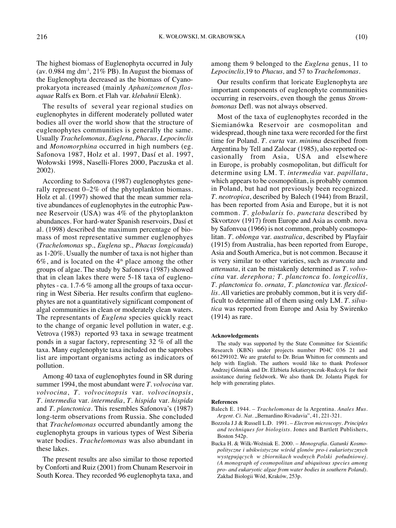The highest biomass of Euglenophyta occurred in July (av.  $0.984$  mg dm<sup>-3</sup>,  $21\%$  PB). In August the biomass of the Euglenophyta decreased as the biomass of Cyanoprokaryota increased (mainly *Aphanizomenon flosaquae* Ralfs ex Born. et Flah var. *klebahnii* Elenk).

The results of several year regional studies on euglenophytes in different moderately polluted water bodies all over the world show that the structure of euglenophytes communities is generally the same. Usually *Trachelomonas, Euglena, Phacus, Lepocinclis* and *Monomorphina* occurred in high numbers (eg. Safonova 1987, Holz et al. 1997, Dasí et al. 1997, Wołowski 1998, Naselli-Flores 2000, Paczuska et al. 2002).

According to Safonova (1987) euglenophytes generally represent 0–2% of the phytoplankton biomass. Holz et al. (1997) showed that the mean summer relative abundances of euglenophytes in the eutrophic Pawnee Reservoir (USA) was 4% of the phytoplankton abundances. For hard-water Spanish reservoirs, Dasí et al. (1998) described the maximum percentage of biomass of most representative summer euglenophyes (*Trachelomonas* sp., *Euglena* sp., *Phacus longicauda*) as 1-20%. Usually the number of taxa is not higher than  $6\%$ , and is located on the  $4<sup>th</sup>$  place among the other groups of algae. The study by Safonova (1987) showed that in clean lakes there were 5-18 taxa of euglenophytes - ca. 1.7-6 % among all the groups of taxa occurring in West Siberia. Her results confirm that euglenophytes are not a quantitatively significant component of algal communities in clean or moderately clean waters. The representants of *Euglena* species quickly react to the change of organic level pollution in water, e.g. Vetrova (1983) reported 93 taxa in sewage treatment ponds in a sugar factory, representing 32 % of all the taxa. Many euglenophyte taxa included on the saprobes list are important organisms acting as indicators of pollution.

Among 40 taxa of euglenophytes found in SR during summer 1994, the most abundant were *T. volvocina* var. *volvocina*, *T. volvocinopsis* var. *volvocinopsis*, *T. intermedia* var. *intermedia*, *T. hispida* var. *hispida* and *T. planctonica*. This resembles Safonova's (1987) long-term observations from Russia. She concluded that *Trachelomonas* occurred abundantly among the euglenophyta groups in various types of West Siberia water bodies. *Trachelomonas* was also abundant in these lakes.

The present results are also similar to those reported by Conforti and Ruiz (2001) from Chunam Reservoir in South Korea. They recorded 96 euglenophyta taxa, and among them 9 belonged to the *Euglena* genus, 11 to *Lepocinclis,*19 to *Phacus,* and 57 to *Trachelomonas*.

Our results confirm that loricate Euglenophyta are important components of euglenophyte communities occurring in reservoirs, even though the genus *Strombomonas* Defl. was not always observed.

Most of the taxa of euglenophytes recorded in the Siemianówka Reservoir are cosmopolitan and widespread, though nine taxa were recorded for the first time for Poland. *T. curta* var. *minima* described from Argentina by Tell and Zalocar (1985), also reported occasionally from Asia, USA and elsewhere in Europe, is probably cosmopolitan, but difficult for determine using LM. T. *intermedia* var. *papillata*, which appears to be cosmopolitan, is probably common in Poland, but had not previously been recognized. *T. neotropica*, described by Balech (1944) from Brazil, has been reported from Asia and Europe, but it is not common. *T. globularis* fo. *punctata* described by Skvortzov (1917) from Europe and Asia as comb. nova by Safonvoa (1966) is not common, probably cosmopolitan. *T. oblonga* var. *australica*, described by Playfair (1915) from Australia, has been reported from Europe, Asia and South America, but is not common. Because it is very similar to other varieties, such as *truncata* and *attenuata*, it can be mistakenly determined as *T. volvocina* var. *derephora; T. planctonca* fo. *longicollis, T. planctonica* fo. *ornata, T. planctonica* var. *flexicollis. A*ll varieties are probably common, but it is very difficult to determine all of them using only LM. *T. silvatica* was reported from Europe and Asia by Swirenko (1914) as rare.

#### **Acknowledgements**

The study was supported by the State Committee for Scientific Research (KBN) under projects number P04C 036 21 and 661299102. We are grateful to Dr. Brian Whitton for comments and help with English. The authors would like to thank Professor Andrzej Górniak and Dr. Elżbieta Jekatierynczuk-Rudczyk for their assistance during fieldwork. We also thank Dr. Jolanta Piątek for help with generating plates.

#### **References**

- Balech E. 1944. *Trachelomonas* de la Argentina. *Anales Mus.*  Argent. Ci. Nat. "Bernardino Rivadavia", 41, 221-321.
- Bozzola J.J & Russell L.D. 1991. *Electron microscopy. Principles and techniques for biologists.* Jones and Bartlett Publishers, Boston 542p.
- Bucka H. & Wilk-Woźniak E. 2000. *Monografia. Gatunki Kosmopolityczne i ubikwistyczne wśród glonów pro-i eukariotycznych występujących w zbiornikach wodnych Polski południowej. (A monograph of cosmopolitan and ubiquitous species among pro- and eukaryotic algae from water bodies in southern Poland).* Zakład Biologii Wód, Kraków, 253p.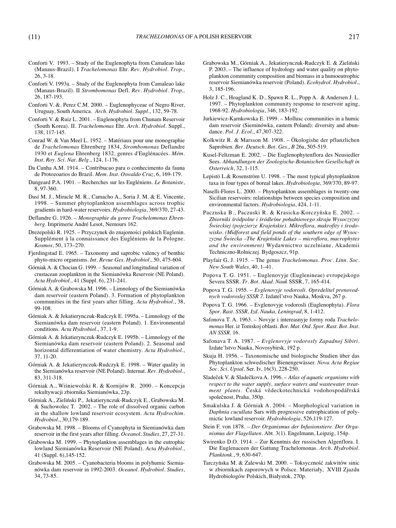- Conforti V. 1993. Study of the Euglenophyta from Camaleao lake (Manaus-Brazil). I *Trachelomonas* Ehr. *Rev. Hydrobiol. Trop.*, 26, 3-18.
- Conforti V. 1993a. Study of the Euglenophyta from Camaleao lake (Manaus-Brazil). II *Strombomonas* Defl. *Rev. Hydrobiol. Trop.,* 26, 187-193.
- Conforti V. &. Perez C.M. 2000. Euglenophyceae of Negro River, Uruguay, South America. *Arch. Hydrobiol. Suppl.*, 132, 59-78.
- Conforti V. & Ruiz L. 2001. Euglenophyta from Chunam Reservoir (South Korea). II. *Trachelomonas* Ehr. *Arch. Hydrobiol.* Suppl., 138, 117-145.
- Conrad W. & Van Meel L. 1952. Matériaux pour une monographie de *Trachelomonas* Ehrenberg 1834, *Strombomonas* Deflandre 1930 et *Euglena* Ehrenberg 1832, genres d'Euglénacées. *Mém. Inst. Roy. Sci. Nat. Belg.*, 124, 1-176.
- Da Cunha A.M. 1914. Contribucao para o conhecimento da fauna de Protozoarios do Brazil. *Mem. Inst. Oswaldo Cruz*, 6, 169-179.
- Dangeard P.A. 1901. Recherches sur les Eugléniens. *Le Botaniste*, 8, 97-360.
- Dasí M. J., Miracle M. R., Camacho A., Soria J. M. & E. Vincente, 1998. – Summer phytoplankton assemblages across trophic gradients in hard-water reservoirs. *Hydrobiologia*, 369/370, 27-43.
- Deflandre G. 1926. *Monographie du genre Trachelomonas Ehrenberg*. Imprimerie André Lesot, Nemours 162.
- Dreżepolski R. 1925. Przyczynek do znajomości polskich Euglenin. Supplément à la connaissance des Eugléniens de la Pologne. *Kosmos*, 50, 173–270.
- Fjerdingstad E. 1965. Taxonomy and saprobic valency of benthic phyto-micro organisms. *Int. Revue Ges. Hydrobiol.*, 50, 475-604.
- Górniak A. & Chocian G. 1999. Seasonal and longitudinal variation of crustacean zooplankton in the Siemianówka Reservoir (NE Poland). *Acta Hydrobiol.*, 41 (Suppl. 6), 231-241.
- Górniak A. & Grabowska M. 1996. Limnology of the Siemianówka dam reservoir (eastern Poland). 3. Formation of phytoplankton communities in the first years after filling. *Acta Hydrobiol.*, 38, 99-108.
- Górniak A. & Jekatierynczuk-Rudczyk E. 1995a. Limnology of the Siemianówka dam reservoir (eastern Poland). 1. Environmental conditions. *Acta Hydrobiol.*, 37, 1-9.
- Górniak A. & Jekatierynczuk-Rudczyk E. 1995b. Limnology of the Siemianówka dam reservoir (eastern Poland). 2. Seasonal and horizontal differentiation of water chemistry. *Acta Hydrobiol.*, 37, 11-20.
- Górniak A. & Jekatierynczuk-Rudczyk E. 1998. Water quality in the Siemianówka reservoir (NE Poland). Internat. *Rev. Hydrobiol.*, 83, 311-318.
- Górniak A., Wiśniewolski R. & Kornijów R. 2000. Koncepcja rekultywacji zbiornika Siemianówka, 23p.
- Górniak A., Zieliński P., Jekatierynczuk-Rudczyk E., Grabowska M. & Suchowolec T. 2002. – The role of dissolved organic carbon in the shallow lowland reservoir ecosystem. *Acta Hydrochim. Hydrobiol.*, 30,179-189.
- Grabowska M. 1998. Blooms of Cyanophyta in Siemianówka dam reservoir in the first years after filling. *Oceanol. Studies*, 27, 27-31.
- Grabowska M. 1999. Phytoplankton assemblages in the eutrophic lowland Siemianówka Reservoir (NE Poland). *Acta Hydrobiol.*, 41 (Suppl. 6),145-152.
- Grabowska M. 2005. Cyanobacteria blooms in polyhumic Siemianówka dam reservoir in 1992-2003. *Oceanol. Hydrobiol. Studies*, 34, 73-85.
- Grabowska M., Górniak A., Jekatierynczuk-Rudczyk E. & Zieliński P. 2003. – The influence of hydrology and water quality on phytoplankton community composition and biomass in a humoeutrophic reservoir Siemianówka reservoir (Poland). *Ecohydrol. Hydrobiol.*, 3, 185-196.
- Holz J. C., Hoagland K. D., Spawn R. L., Popp A. & Andersen J. L. 1997. – Phytoplankton community response to reservoir aging, 1968-92. *Hydrobiologia*, 346, 183-192.
- Jurkiewicz-Karnkowska E. 1999. Mollusc communities in a humic dam reservoir (Sieminówka, eastern Poland): diversity and abundance. *Pol. J. Ecol.*, 47,307-322.
- Kolkwitz R. & Marsson M. 1908. Ökologishe der pflanzlichen Saprobien. *Ber. Deutsch. Bot. Ges., B* 26a, 505-519.
- Kusel-Feltzman E. 2002. Die Euglenophytenflora des Neusiedler Sees. *Abhandlungen der Zoologische-Botanischen Gesellschaft in Osterreich*, 32, 1-115.
- Lepistö L.& Rosenström U. 1998. The most typical phytoplankton taxa in four types of boreal lakes. *Hydrobiologia*, 369/370, 89-97.
- Naselli-Flores L. 2000. Phytoplankton assemblages in twenty-one Sicilian reservoirs: relationships between species composition and environmental factors. *Hydrobiologia*, 424, 1-11.
- Paczuska B., Paczuski R. & Krasicka-Korczyńska E. 2002. *Zbiorniki śródpolne i śródleśne południowego skraju Wysoczyzny Świeckiej (pojezierze Krajeńskie). Mikroflora, makrofity i środowisko. (Midforest and field ponds of the southern edge of Wysoczyzna Świecka –The Krajeńskie Lakes – microflora, macrophytes and the environment)* Wydawnictwo uczelniane, Akademii Techniczno-Rolniczej. Bydgoszcz, 91p.
- Playfair G. J. 1915. The genus *Trachelomonas. Proc. Linn. Soc. New South Wales*, 40, 1–41.
- Popova T. G. 1951. Euglenovyje (Euglenineae) evropejskogo Severa SSSR. *Tr. Bot. Akad. Nauk* SSSR, 7, 165-414.
- Popova T. G. 1955. *Evglenovyje vodorosli. Opredelitel prenovodnych vodoroslej SSSR 7*. Izdatel'stvo Nauka, Moskva, 267 p.
- Popova T. G. 1966. Evglenovyje vodorosli (Euglenophyta). *Flora Spor. Rast. SSSR, Izd. Nauka, Leningrad*, 8, 1-412.
- Safonova T. A. 1963. Novyje i intereasnyje formy roda *Trachelomonas* Her. iż Tomskoj oblasti. *Bot. Mat. Otd. Spor. Rast. Bot. Inst. AN SSSR*. 16.
- Safonava T. A. 1987. *Evglenovyje vodorosly Zapadnoj Sibiri.* Izdate'lstvo Nauka, Novosybirsk, 192 p.
- Skuja H. 1956. Taxonomische und biologische Studien über das Phytoplankton schwedischer Bienengewässer. *Nova Acta Regiae Soc. Sci. Upsal.* Ser. Iv, 16(3), 228-250.
- Sladeček V. & Sladečkova A. 1996. *Atlas of aquatic organisms with respect to the water supply, surface waters and wastewater treatment plants.* Česká vědeckotechnická vodohospodářrská společnost, Praha, 350p.
- Smakulska J. & Górniak A. 2004. Morphological variation in *Daphnia cucullata* Sars with progressive eutrophication of polymictic lowland reservoir. *Hydrobiologia*, 526,119-127.
- Stein F. von 1878. *Der Organismus der Infusionstiere. Der Organismus der Flagellaten.* Abt. 3(1). Engelmann, Leipzig, 154p.
- Swirenko D.O. 1914. Zur Kenntnis der russischen Algenflora. I. Die Euglenaceen der Gattung Trachelomonas. *Arch. Hydrobiol. Planktonk.*, 9, 630-647.
- Tarczyńska M. & Zalewski M. 2000. Toksyczność zakwitów sinic w zbiornikach zaporowych w Polsce. Materiały, XVIII Zjazdu Hydrobiologów Polskich, Białystok, 270p.